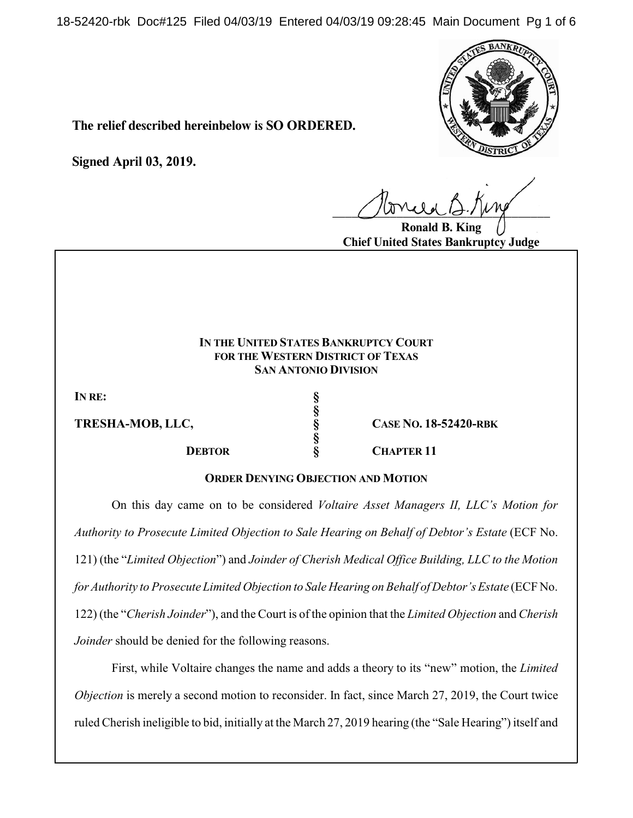18-52420-rbk Doc#125 Filed 04/03/19 Entered 04/03/19 09:28:45 Main Document Pg 1 of 6



**The relief described hereinbelow is SO ORDERED.**

**Signed April 03, 2019.**

 $U^{WVWW}$ 

**Ronald B. King Chief United States Bankruptcy Judge**

## **IN THE UNITED STATES BANKRUPTCY COURT FOR THE WESTERN DISTRICT OF TEXAS SAN ANTONIO DIVISION**

**§**

**§**

**IN RE: §**

**DEBTOR § CHAPTER 11** 

**TRESHA-MOB, LLC, § CASE NO. 18-52420-RBK**

**ORDER DENYING OBJECTION AND MOTION**

On this day came on to be considered *Voltaire Asset Managers II, LLC's Motion for Authority to Prosecute Limited Objection to Sale Hearing on Behalf of Debtor's Estate* (ECF No. 121) (the "*Limited Objection*") and *Joinder of Cherish Medical Office Building, LLC to the Motion for Authority to Prosecute Limited Objection to Sale Hearing on Behalf of Debtor's Estate* (ECF No. 122) (the "*Cherish Joinder*"), and the Court is of the opinion that the *Limited Objection* and *Cherish Joinder* should be denied for the following reasons.

First, while Voltaire changes the name and adds a theory to its "new" motion, the *Limited Objection* is merely a second motion to reconsider. In fact, since March 27, 2019, the Court twice ruled Cherish ineligible to bid, initially at the March 27, 2019 hearing (the "Sale Hearing") itself and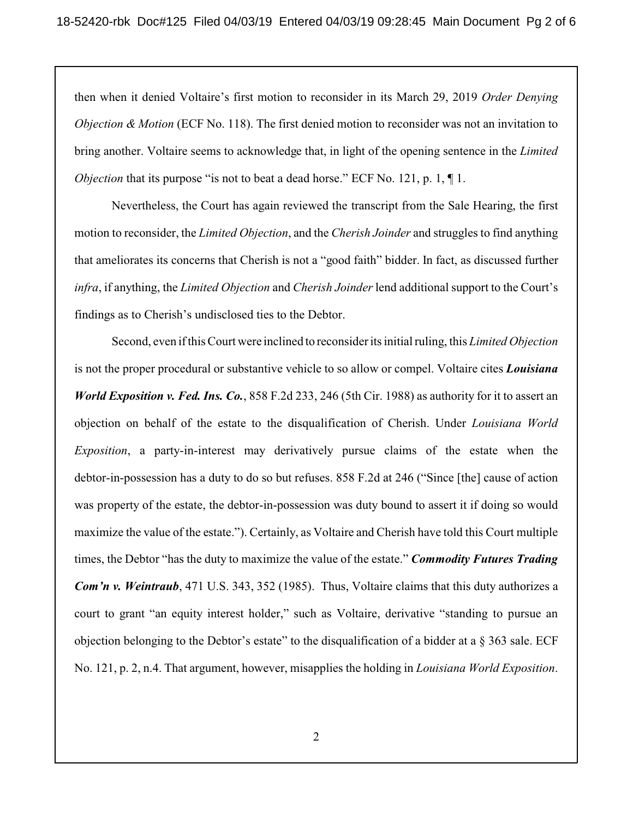then when it denied Voltaire's first motion to reconsider in its March 29, 2019 *Order Denying Objection & Motion* (ECF No. 118). The first denied motion to reconsider was not an invitation to bring another. Voltaire seems to acknowledge that, in light of the opening sentence in the *Limited Objection* that its purpose "is not to beat a dead horse." ECF No. 121, p. 1,  $\P$ 1.

Nevertheless, the Court has again reviewed the transcript from the Sale Hearing, the first motion to reconsider, the *Limited Objection*, and the *Cherish Joinder* and struggles to find anything that ameliorates its concerns that Cherish is not a "good faith" bidder. In fact, as discussed further *infra*, if anything, the *Limited Objection* and *Cherish Joinder* lend additional support to the Court's findings as to Cherish's undisclosed ties to the Debtor.

Second, even if this Court were inclined to reconsider its initial ruling, this *Limited Objection* is not the proper procedural or substantive vehicle to so allow or compel. Voltaire cites *Louisiana World Exposition v. Fed. Ins. Co.*, 858 F.2d 233, 246 (5th Cir. 1988) as authority for it to assert an objection on behalf of the estate to the disqualification of Cherish. Under *Louisiana World Exposition*, a party-in-interest may derivatively pursue claims of the estate when the debtor-in-possession has a duty to do so but refuses. 858 F.2d at 246 ("Since [the] cause of action was property of the estate, the debtor-in-possession was duty bound to assert it if doing so would maximize the value of the estate."). Certainly, as Voltaire and Cherish have told this Court multiple times, the Debtor "has the duty to maximize the value of the estate." *Commodity Futures Trading Com'n v. Weintraub*, 471 U.S. 343, 352 (1985). Thus, Voltaire claims that this duty authorizes a court to grant "an equity interest holder," such as Voltaire, derivative "standing to pursue an objection belonging to the Debtor's estate" to the disqualification of a bidder at a  $\S$  363 sale. ECF No. 121, p. 2, n.4. That argument, however, misapplies the holding in *Louisiana World Exposition*.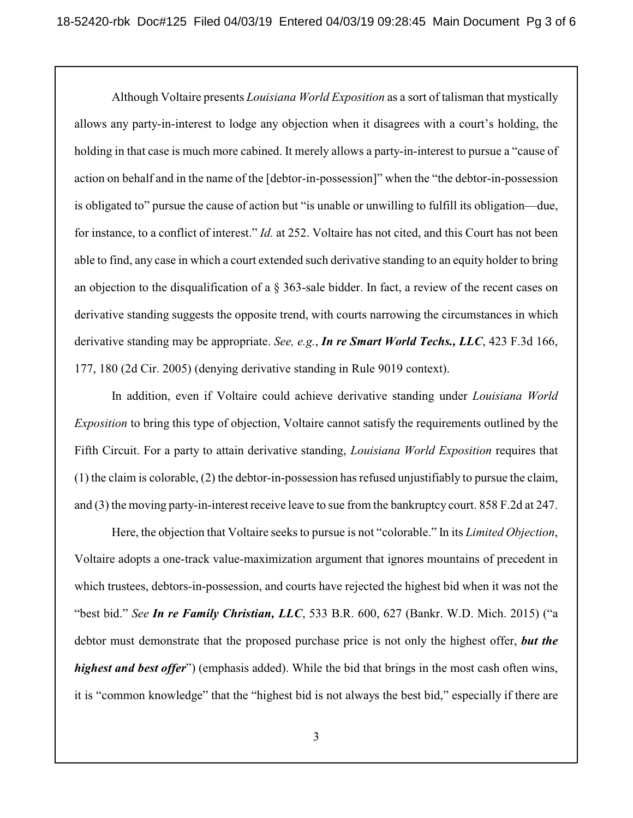Although Voltaire presents *Louisiana World Exposition* as a sort of talisman that mystically allows any party-in-interest to lodge any objection when it disagrees with a court's holding, the holding in that case is much more cabined. It merely allows a party-in-interest to pursue a "cause of action on behalf and in the name of the [debtor-in-possession]" when the "the debtor-in-possession is obligated to" pursue the cause of action but "is unable or unwilling to fulfill its obligation—due, for instance, to a conflict of interest." *Id.* at 252. Voltaire has not cited, and this Court has not been able to find, any case in which a court extended such derivative standing to an equity holder to bring an objection to the disqualification of a § 363-sale bidder. In fact, a review of the recent cases on derivative standing suggests the opposite trend, with courts narrowing the circumstances in which derivative standing may be appropriate. *See, e.g.*, *In re Smart World Techs., LLC*, 423 F.3d 166, 177, 180 (2d Cir. 2005) (denying derivative standing in Rule 9019 context).

In addition, even if Voltaire could achieve derivative standing under *Louisiana World Exposition* to bring this type of objection, Voltaire cannot satisfy the requirements outlined by the Fifth Circuit. For a party to attain derivative standing, *Louisiana World Exposition* requires that (1) the claim is colorable, (2) the debtor-in-possession has refused unjustifiably to pursue the claim, and (3) the moving party-in-interest receive leave to sue from the bankruptcy court. 858 F.2d at 247.

Here, the objection that Voltaire seeks to pursue is not "colorable." In its *Limited Objection*, Voltaire adopts a one-track value-maximization argument that ignores mountains of precedent in which trustees, debtors-in-possession, and courts have rejected the highest bid when it was not the "best bid." *See In re Family Christian, LLC*, 533 B.R. 600, 627 (Bankr. W.D. Mich. 2015) ("a debtor must demonstrate that the proposed purchase price is not only the highest offer, *but the highest and best offer*") (emphasis added). While the bid that brings in the most cash often wins, it is "common knowledge" that the "highest bid is not always the best bid," especially if there are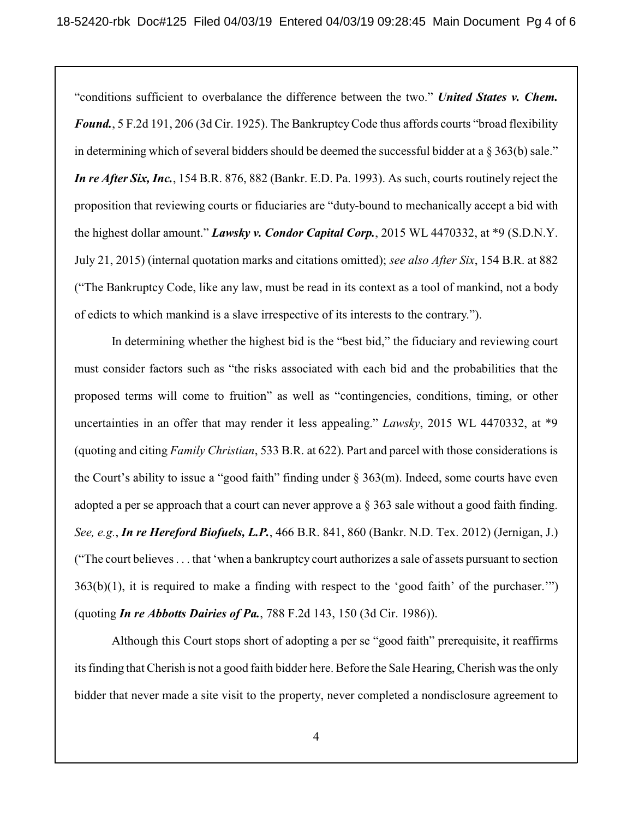"conditions sufficient to overbalance the difference between the two." *United States v. Chem.* Found., 5 F.2d 191, 206 (3d Cir. 1925). The Bankruptcy Code thus affords courts "broad flexibility in determining which of several bidders should be deemed the successful bidder at a § 363(b) sale." *In re After Six, Inc.*, 154 B.R. 876, 882 (Bankr. E.D. Pa. 1993). As such, courts routinely reject the proposition that reviewing courts or fiduciaries are "duty-bound to mechanically accept a bid with the highest dollar amount." *Lawsky v. Condor Capital Corp.*, 2015 WL 4470332, at \*9 (S.D.N.Y. July 21, 2015) (internal quotation marks and citations omitted); *see also After Six*, 154 B.R. at 882 ("The Bankruptcy Code, like any law, must be read in its context as a tool of mankind, not a body of edicts to which mankind is a slave irrespective of its interests to the contrary.").

In determining whether the highest bid is the "best bid," the fiduciary and reviewing court must consider factors such as "the risks associated with each bid and the probabilities that the proposed terms will come to fruition" as well as "contingencies, conditions, timing, or other uncertainties in an offer that may render it less appealing." *Lawsky*, 2015 WL 4470332, at \*9 (quoting and citing *Family Christian*, 533 B.R. at 622). Part and parcel with those considerations is the Court's ability to issue a "good faith" finding under § 363(m). Indeed, some courts have even adopted a per se approach that a court can never approve a § 363 sale without a good faith finding. *See, e.g.*, *In re Hereford Biofuels, L.P.*, 466 B.R. 841, 860 (Bankr. N.D. Tex. 2012) (Jernigan, J.) ("The court believes . . . that 'when a bankruptcy court authorizes a sale of assets pursuant to section  $363(b)(1)$ , it is required to make a finding with respect to the 'good faith' of the purchaser.'") (quoting *In re Abbotts Dairies of Pa.*, 788 F.2d 143, 150 (3d Cir. 1986)).

Although this Court stops short of adopting a per se "good faith" prerequisite, it reaffirms its finding that Cherish is not a good faith bidder here. Before the Sale Hearing, Cherish was the only bidder that never made a site visit to the property, never completed a nondisclosure agreement to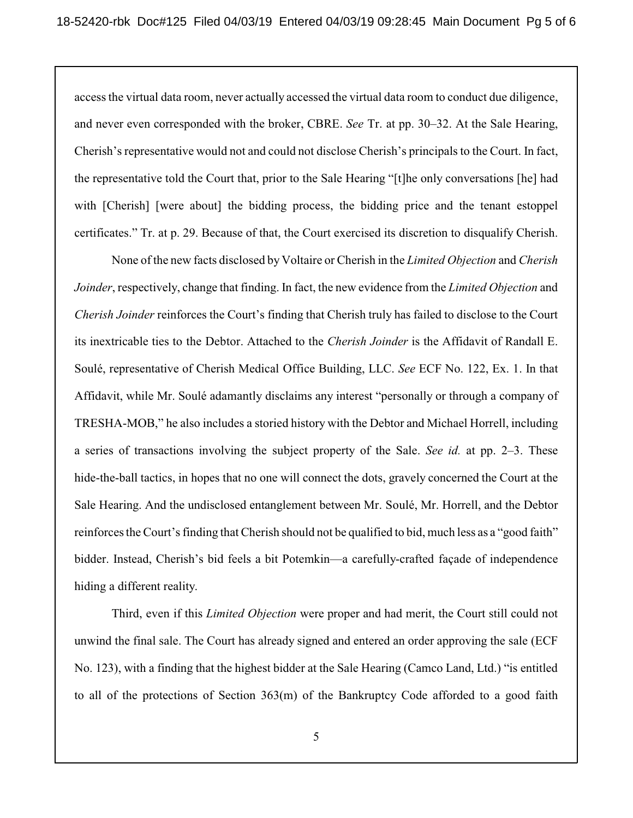access the virtual data room, never actually accessed the virtual data room to conduct due diligence, and never even corresponded with the broker, CBRE. *See* Tr. at pp. 30–32. At the Sale Hearing, Cherish's representative would not and could not disclose Cherish's principals to the Court. In fact, the representative told the Court that, prior to the Sale Hearing "[t]he only conversations [he] had with [Cherish] [were about] the bidding process, the bidding price and the tenant estoppel certificates." Tr. at p. 29. Because of that, the Court exercised its discretion to disqualify Cherish.

None of the new facts disclosed by Voltaire or Cherish in the *Limited Objection* and *Cherish Joinder*, respectively, change that finding. In fact, the new evidence from the *Limited Objection* and *Cherish Joinder* reinforces the Court's finding that Cherish truly has failed to disclose to the Court its inextricable ties to the Debtor. Attached to the *Cherish Joinder* is the Affidavit of Randall E. Soulé, representative of Cherish Medical Office Building, LLC. *See* ECF No. 122, Ex. 1. In that Affidavit, while Mr. Soulé adamantly disclaims any interest "personally or through a company of TRESHA-MOB," he also includes a storied history with the Debtor and Michael Horrell, including a series of transactions involving the subject property of the Sale. *See id.* at pp. 2–3. These hide-the-ball tactics, in hopes that no one will connect the dots, gravely concerned the Court at the Sale Hearing. And the undisclosed entanglement between Mr. Soulé, Mr. Horrell, and the Debtor reinforces the Court's finding that Cherish should not be qualified to bid, much less as a "good faith" bidder. Instead, Cherish's bid feels a bit Potemkin—a carefully-crafted façade of independence hiding a different reality.

Third, even if this *Limited Objection* were proper and had merit, the Court still could not unwind the final sale. The Court has already signed and entered an order approving the sale (ECF No. 123), with a finding that the highest bidder at the Sale Hearing (Camco Land, Ltd.) "is entitled to all of the protections of Section 363(m) of the Bankruptcy Code afforded to a good faith